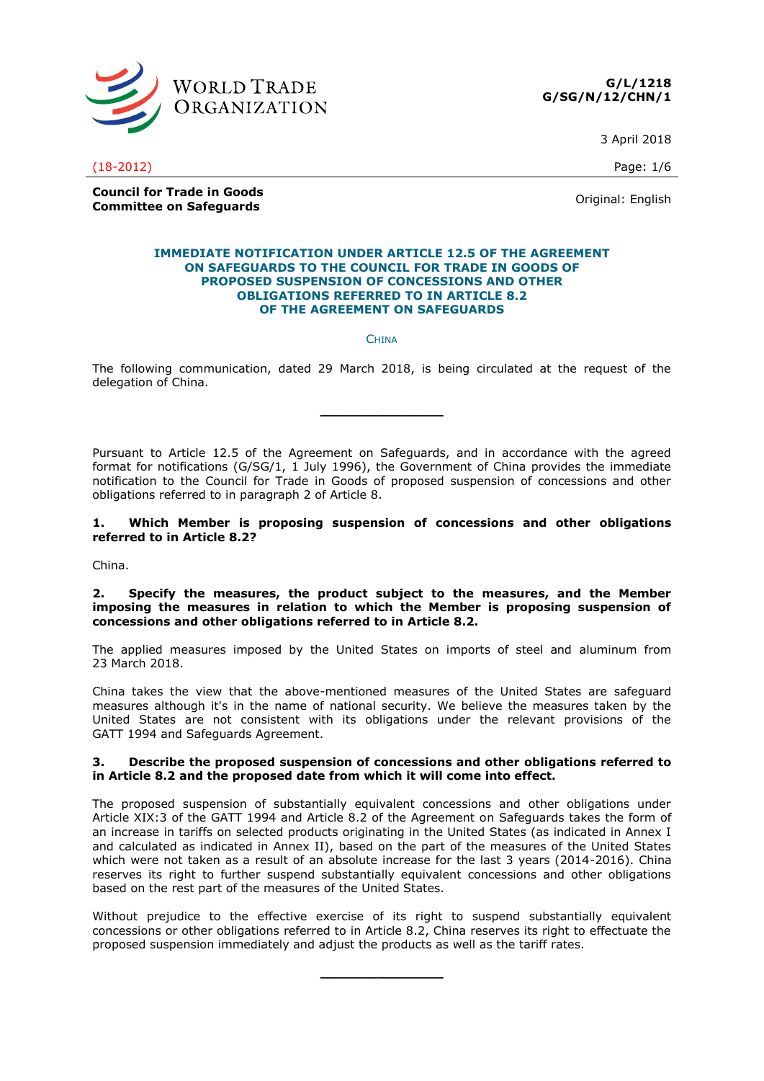



3 April 2018

(18-2012) Page: 1/6

**Council for Trade in Goods Council for Frage in Goods**<br> **Committee on Safeguards** Committee on Safeguards

#### **IMMEDIATE NOTIFICATION UNDER ARTICLE 12.5 OF THE AGREEMENT ON SAFEGUARDS TO THE COUNCIL FOR TRADE IN GOODS OF PROPOSED SUSPENSION OF CONCESSIONS AND OTHER OBLIGATIONS REFERRED TO IN ARTICLE 8.2 OF THE AGREEMENT ON SAFEGUARDS**

**CHINA** 

The following communication, dated 29 March 2018, is being circulated at the request of the delegation of China.

**\_\_\_\_\_\_\_\_\_\_\_\_\_\_\_**

Pursuant to Article 12.5 of the Agreement on Safeguards, and in accordance with the agreed format for notifications (G/SG/1, 1 July 1996), the Government of China provides the immediate notification to the Council for Trade in Goods of proposed suspension of concessions and other obligations referred to in paragraph 2 of Article 8.

### **1. Which Member is proposing suspension of concessions and other obligations referred to in Article 8.2?**

China.

### **2. Specify the measures, the product subject to the measures, and the Member imposing the measures in relation to which the Member is proposing suspension of concessions and other obligations referred to in Article 8.2.**

The applied measures imposed by the United States on imports of steel and aluminum from 23 March 2018.

China takes the view that the above-mentioned measures of the United States are safeguard measures although it's in the name of national security. We believe the measures taken by the United States are not consistent with its obligations under the relevant provisions of the GATT 1994 and Safeguards Agreement.

### **3. Describe the proposed suspension of concessions and other obligations referred to in Article 8.2 and the proposed date from which it will come into effect.**

The proposed suspension of substantially equivalent concessions and other obligations under Article XIX:3 of the GATT 1994 and Article 8.2 of the Agreement on Safeguards takes the form of an increase in tariffs on selected products originating in the United States (as indicated in Annex I and calculated as indicated in Annex II), based on the part of the measures of the United States which were not taken as a result of an absolute increase for the last 3 years (2014-2016). China reserves its right to further suspend substantially equivalent concessions and other obligations based on the rest part of the measures of the United States.

Without prejudice to the effective exercise of its right to suspend substantially equivalent concessions or other obligations referred to in Article 8.2, China reserves its right to effectuate the proposed suspension immediately and adjust the products as well as the tariff rates.

**\_\_\_\_\_\_\_\_\_\_\_\_\_\_\_**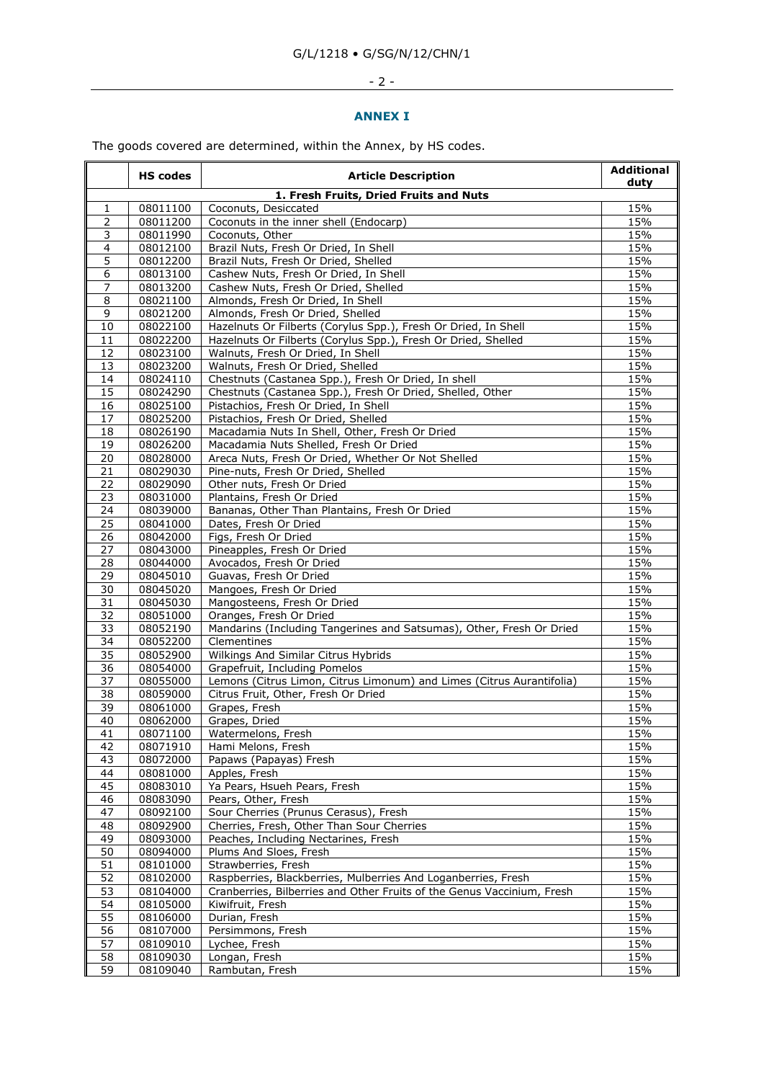# $-2$  -

### **ANNEX I**

The goods covered are determined, within the Annex, by HS codes.

|                 | <b>HS codes</b>      | <b>Article Description</b>                                                               |            |  |
|-----------------|----------------------|------------------------------------------------------------------------------------------|------------|--|
|                 |                      | 1. Fresh Fruits, Dried Fruits and Nuts                                                   |            |  |
| 1               | 08011100             | Coconuts, Desiccated                                                                     | 15%<br>15% |  |
| $\overline{2}$  |                      | 08011200<br>Coconuts in the inner shell (Endocarp)                                       |            |  |
| 3               | 08011990             | Coconuts, Other                                                                          | 15%        |  |
| 4               | 08012100             | Brazil Nuts, Fresh Or Dried, In Shell                                                    | 15%        |  |
| 5               | 08012200             | Brazil Nuts, Fresh Or Dried, Shelled                                                     | 15%        |  |
| 6               | 08013100             | Cashew Nuts, Fresh Or Dried, In Shell                                                    | 15%        |  |
| 7               | 08013200             | Cashew Nuts, Fresh Or Dried, Shelled                                                     | 15%        |  |
| 8               | 08021100             | Almonds, Fresh Or Dried, In Shell                                                        | 15%        |  |
| 9               | 08021200             | Almonds, Fresh Or Dried, Shelled                                                         | 15%        |  |
| 10              | 08022100             | Hazelnuts Or Filberts (Corylus Spp.), Fresh Or Dried, In Shell                           | 15%        |  |
| 11              | 08022200             | Hazelnuts Or Filberts (Corylus Spp.), Fresh Or Dried, Shelled                            | 15%        |  |
| 12              | 08023100             | Walnuts, Fresh Or Dried, In Shell                                                        | 15%        |  |
| 13              | 08023200             | Walnuts, Fresh Or Dried, Shelled                                                         | 15%        |  |
| 14              | 08024110             | Chestnuts (Castanea Spp.), Fresh Or Dried, In shell                                      | 15%        |  |
| 15              | 08024290             | Chestnuts (Castanea Spp.), Fresh Or Dried, Shelled, Other                                | 15%        |  |
| 16              | 08025100             | Pistachios, Fresh Or Dried, In Shell                                                     | 15%        |  |
| 17              | 08025200             | Pistachios, Fresh Or Dried, Shelled                                                      | 15%<br>15% |  |
| 18<br>19        | 08026190<br>08026200 | Macadamia Nuts In Shell, Other, Fresh Or Dried<br>Macadamia Nuts Shelled, Fresh Or Dried | 15%        |  |
| 20              | 08028000             | Areca Nuts, Fresh Or Dried, Whether Or Not Shelled                                       | 15%        |  |
| 21              | 08029030             | Pine-nuts, Fresh Or Dried, Shelled                                                       | 15%        |  |
| 22              | 08029090             | Other nuts, Fresh Or Dried                                                               | 15%        |  |
| 23              | 08031000             | Plantains, Fresh Or Dried                                                                | 15%        |  |
| 24              | 08039000             | Bananas, Other Than Plantains, Fresh Or Dried                                            | 15%        |  |
| 25              | 08041000             | Dates, Fresh Or Dried                                                                    | 15%        |  |
| 26              | 08042000             | Figs, Fresh Or Dried                                                                     | 15%        |  |
| 27              | 08043000             | Pineapples, Fresh Or Dried                                                               | 15%        |  |
| 28              | 08044000             | Avocados, Fresh Or Dried                                                                 | 15%        |  |
| 29              | 08045010             | Guavas, Fresh Or Dried                                                                   | 15%        |  |
| 30              | 08045020             | Mangoes, Fresh Or Dried                                                                  | 15%        |  |
| 31              | 08045030             | Mangosteens, Fresh Or Dried                                                              | 15%        |  |
| $\overline{32}$ | 08051000             | Oranges, Fresh Or Dried                                                                  | 15%        |  |
| 33              | 08052190             | Mandarins (Including Tangerines and Satsumas), Other, Fresh Or Dried                     | 15%        |  |
| 34              | 08052200             | Clementines                                                                              | 15%        |  |
| 35              | 08052900             | Wilkings And Similar Citrus Hybrids                                                      | 15%        |  |
| $\overline{36}$ | 08054000             | Grapefruit, Including Pomelos                                                            | 15%        |  |
| $\overline{37}$ | 08055000             | Lemons (Citrus Limon, Citrus Limonum) and Limes (Citrus Aurantifolia)                    | 15%        |  |
| 38<br>39        | 08059000<br>08061000 | Citrus Fruit, Other, Fresh Or Dried<br>Grapes, Fresh                                     | 15%<br>15% |  |
| 40              | 08062000             | Grapes, Dried                                                                            | 15%        |  |
| 41              | 08071100             | Watermelons, Fresh                                                                       | 15%        |  |
| 42              | 08071910             | Hami Melons, Fresh                                                                       | 15%        |  |
| 43              | 08072000             | Papaws (Papayas) Fresh                                                                   | 15%        |  |
| 44              | 08081000             | Apples, Fresh                                                                            | 15%        |  |
| 45              | 08083010             | Ya Pears, Hsueh Pears, Fresh                                                             | 15%        |  |
| 46              | 08083090             | Pears, Other, Fresh                                                                      | 15%        |  |
| 47              | 08092100             | Sour Cherries (Prunus Cerasus), Fresh                                                    | 15%        |  |
| 48              | 08092900             | Cherries, Fresh, Other Than Sour Cherries                                                | 15%        |  |
| 49              | 08093000             | Peaches, Including Nectarines, Fresh                                                     | 15%        |  |
| 50              | 08094000             | Plums And Sloes, Fresh                                                                   | 15%        |  |
| $\overline{51}$ | 08101000             | Strawberries, Fresh                                                                      | 15%        |  |
| 52              | 08102000             | Raspberries, Blackberries, Mulberries And Loganberries, Fresh                            | 15%        |  |
| 53              | 08104000             | Cranberries, Bilberries and Other Fruits of the Genus Vaccinium, Fresh                   | 15%        |  |
| $\overline{54}$ | 08105000             | Kiwifruit, Fresh                                                                         | 15%        |  |
| 55              | 08106000             | Durian, Fresh                                                                            | 15%        |  |
| 56              | 08107000             | Persimmons, Fresh                                                                        | 15%        |  |
| $\overline{57}$ | 08109010             | Lychee, Fresh                                                                            | 15%        |  |
| 58              | 08109030             | Longan, Fresh                                                                            | 15%        |  |
| 59              | 08109040             | Rambutan, Fresh                                                                          | 15%        |  |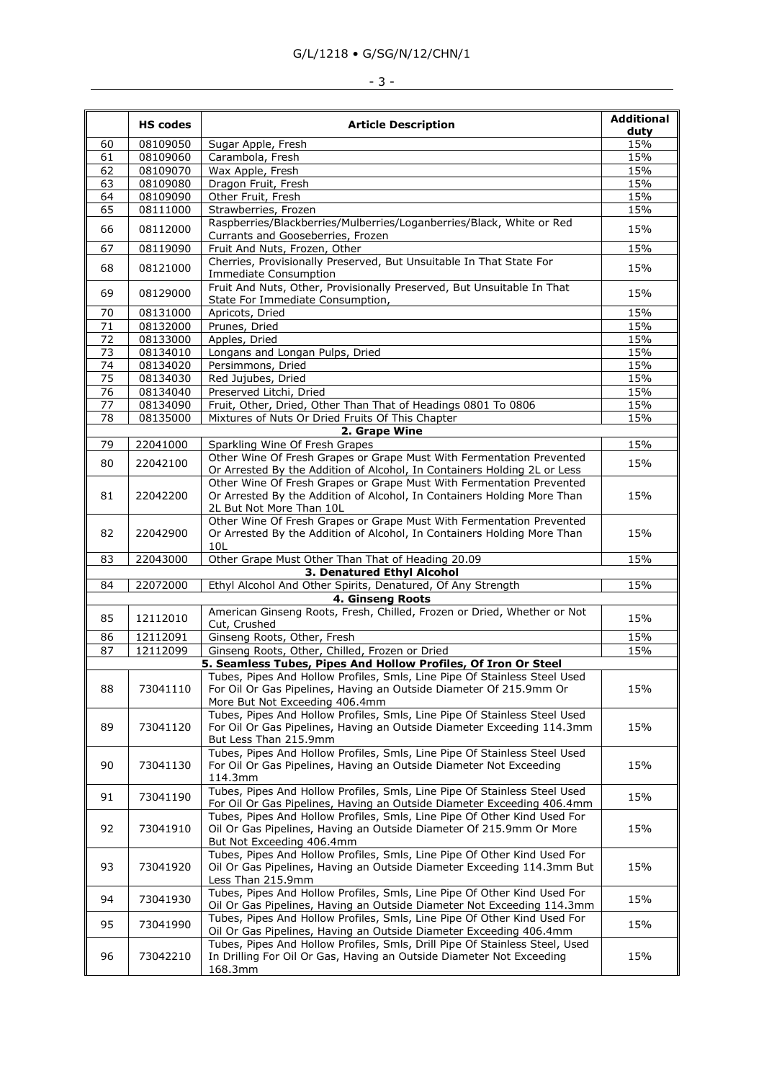### G/L/1218 • G/SG/N/12/CHN/1

# - 3 -

|                 | <b>HS codes</b> | <b>Article Description</b>                                                                                                                                                        |             |  |
|-----------------|-----------------|-----------------------------------------------------------------------------------------------------------------------------------------------------------------------------------|-------------|--|
| 60              | 08109050        | Sugar Apple, Fresh                                                                                                                                                                | duty<br>15% |  |
| 61              | 08109060        | Carambola, Fresh                                                                                                                                                                  | 15%         |  |
| 62              | 08109070        | Wax Apple, Fresh                                                                                                                                                                  | 15%         |  |
| 63              | 08109080        | Dragon Fruit, Fresh                                                                                                                                                               | 15%         |  |
| 64              | 08109090        | Other Fruit, Fresh                                                                                                                                                                | 15%         |  |
| 65              | 08111000        | Strawberries, Frozen                                                                                                                                                              | 15%         |  |
| 66              | 08112000        | Raspberries/Blackberries/Mulberries/Loganberries/Black, White or Red<br>Currants and Gooseberries, Frozen                                                                         | 15%         |  |
| 67              | 08119090        | Fruit And Nuts, Frozen, Other                                                                                                                                                     | 15%         |  |
| 68              | 08121000        | Cherries, Provisionally Preserved, But Unsuitable In That State For<br><b>Immediate Consumption</b>                                                                               | 15%         |  |
| 69              | 08129000        | Fruit And Nuts, Other, Provisionally Preserved, But Unsuitable In That<br>State For Immediate Consumption,                                                                        | 15%         |  |
| 70              | 08131000        | Apricots, Dried                                                                                                                                                                   | 15%         |  |
| 71              | 08132000        | Prunes, Dried                                                                                                                                                                     | 15%         |  |
| $\overline{72}$ | 08133000        | Apples, Dried                                                                                                                                                                     | 15%         |  |
| 73              | 08134010        | Longans and Longan Pulps, Dried                                                                                                                                                   | 15%         |  |
| 74              | 08134020        | Persimmons, Dried                                                                                                                                                                 | 15%         |  |
| 75              | 08134030        | Red Jujubes, Dried                                                                                                                                                                | 15%         |  |
| 76              | 08134040        | Preserved Litchi, Dried                                                                                                                                                           | 15%         |  |
| 77              | 08134090        | Fruit, Other, Dried, Other Than That of Headings 0801 To 0806                                                                                                                     | 15%         |  |
| 78              | 08135000        | Mixtures of Nuts Or Dried Fruits Of This Chapter                                                                                                                                  | 15%         |  |
|                 |                 | 2. Grape Wine                                                                                                                                                                     |             |  |
| 79              | 22041000        | Sparkling Wine Of Fresh Grapes                                                                                                                                                    | 15%         |  |
| 80              | 22042100        | Other Wine Of Fresh Grapes or Grape Must With Fermentation Prevented<br>Or Arrested By the Addition of Alcohol, In Containers Holding 2L or Less                                  | 15%         |  |
| 81              | 22042200        | Other Wine Of Fresh Grapes or Grape Must With Fermentation Prevented<br>Or Arrested By the Addition of Alcohol, In Containers Holding More Than<br>2L But Not More Than 10L       | 15%         |  |
| 82              | 22042900        | Other Wine Of Fresh Grapes or Grape Must With Fermentation Prevented<br>Or Arrested By the Addition of Alcohol, In Containers Holding More Than                                   | 15%         |  |
|                 |                 | 10L                                                                                                                                                                               |             |  |
| 83              | 22043000        | Other Grape Must Other Than That of Heading 20.09                                                                                                                                 | 15%         |  |
|                 |                 | 3. Denatured Ethyl Alcohol                                                                                                                                                        |             |  |
| 84              | 22072000        | Ethyl Alcohol And Other Spirits, Denatured, Of Any Strength                                                                                                                       | 15%         |  |
|                 |                 | 4. Ginseng Roots<br>American Ginseng Roots, Fresh, Chilled, Frozen or Dried, Whether or Not                                                                                       |             |  |
| 85              | 12112010        | Cut, Crushed                                                                                                                                                                      | 15%         |  |
| 86              | 12112091        | Ginseng Roots, Other, Fresh                                                                                                                                                       | 15%         |  |
| 87              | 12112099        | Ginseng Roots, Other, Chilled, Frozen or Dried                                                                                                                                    | 15%         |  |
|                 |                 | 5. Seamless Tubes, Pipes And Hollow Profiles, Of Iron Or Steel                                                                                                                    |             |  |
| 88              | 73041110        | Tubes, Pipes And Hollow Profiles, Smls, Line Pipe Of Stainless Steel Used<br>For Oil Or Gas Pipelines, Having an Outside Diameter Of 215.9mm Or<br>More But Not Exceeding 406.4mm | 15%         |  |
| 89              | 73041120        | Tubes, Pipes And Hollow Profiles, Smls, Line Pipe Of Stainless Steel Used<br>For Oil Or Gas Pipelines, Having an Outside Diameter Exceeding 114.3mm<br>But Less Than 215.9mm      | 15%         |  |
| 90              | 73041130        | Tubes, Pipes And Hollow Profiles, Smls, Line Pipe Of Stainless Steel Used<br>For Oil Or Gas Pipelines, Having an Outside Diameter Not Exceeding<br>114.3mm                        |             |  |
| 91              | 73041190        | Tubes, Pipes And Hollow Profiles, Smls, Line Pipe Of Stainless Steel Used<br>For Oil Or Gas Pipelines, Having an Outside Diameter Exceeding 406.4mm                               |             |  |
| 92              | 73041910        | Tubes, Pipes And Hollow Profiles, Smls, Line Pipe Of Other Kind Used For<br>Oil Or Gas Pipelines, Having an Outside Diameter Of 215.9mm Or More<br>But Not Exceeding 406.4mm      |             |  |
| 93              | 73041920        | Tubes, Pipes And Hollow Profiles, Smls, Line Pipe Of Other Kind Used For<br>Oil Or Gas Pipelines, Having an Outside Diameter Exceeding 114.3mm But<br>15%<br>Less Than 215.9mm    |             |  |
| 94              | 73041930        | Tubes, Pipes And Hollow Profiles, Smls, Line Pipe Of Other Kind Used For<br>Oil Or Gas Pipelines, Having an Outside Diameter Not Exceeding 114.3mm                                | 15%         |  |
| 95              | 73041990        | Tubes, Pipes And Hollow Profiles, Smls, Line Pipe Of Other Kind Used For<br>Oil Or Gas Pipelines, Having an Outside Diameter Exceeding 406.4mm                                    | 15%         |  |
| 96              | 73042210        | Tubes, Pipes And Hollow Profiles, Smls, Drill Pipe Of Stainless Steel, Used<br>In Drilling For Oil Or Gas, Having an Outside Diameter Not Exceeding<br>168.3mm                    | 15%         |  |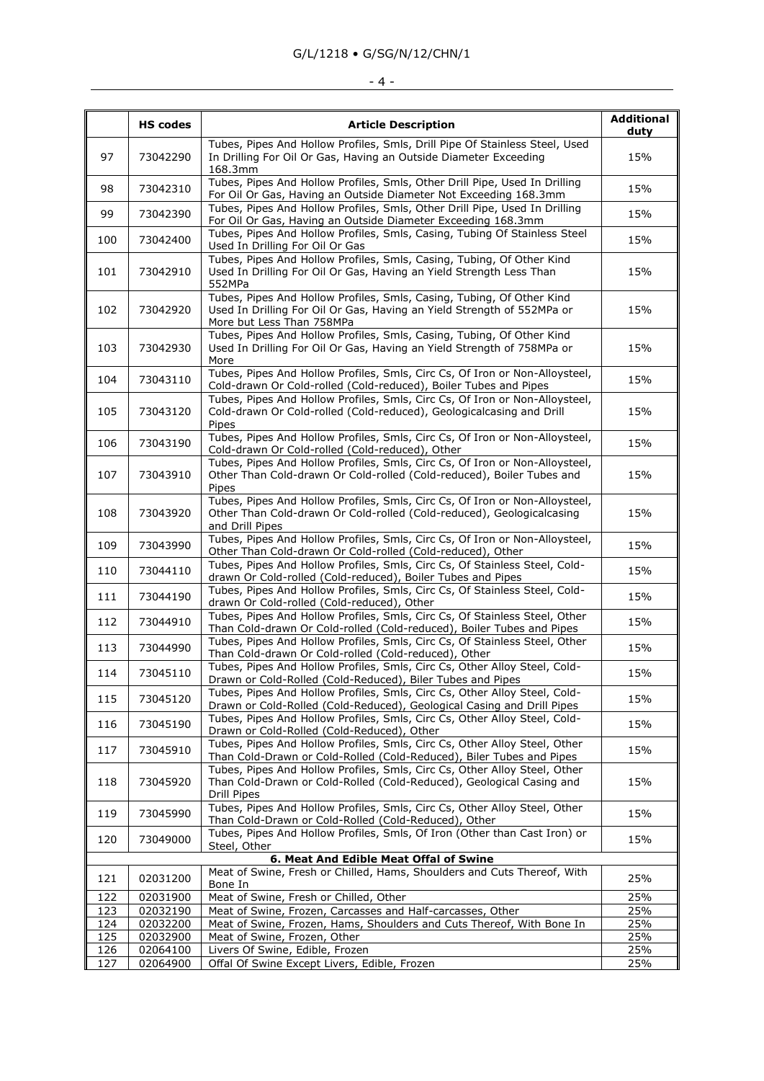### G/L/1218 • G/SG/N/12/CHN/1

# $-4$  -

|                                        |                 |                                                                                                                                                                              | <b>Additional</b> |
|----------------------------------------|-----------------|------------------------------------------------------------------------------------------------------------------------------------------------------------------------------|-------------------|
|                                        | <b>HS codes</b> | <b>Article Description</b>                                                                                                                                                   | duty              |
| 97                                     | 73042290        | Tubes, Pipes And Hollow Profiles, Smls, Drill Pipe Of Stainless Steel, Used<br>In Drilling For Oil Or Gas, Having an Outside Diameter Exceeding<br>168.3mm                   | 15%               |
| 98                                     | 73042310        | Tubes, Pipes And Hollow Profiles, Smls, Other Drill Pipe, Used In Drilling<br>For Oil Or Gas, Having an Outside Diameter Not Exceeding 168.3mm                               | 15%               |
| 99                                     | 73042390        | Tubes, Pipes And Hollow Profiles, Smls, Other Drill Pipe, Used In Drilling<br>For Oil Or Gas, Having an Outside Diameter Exceeding 168.3mm                                   | 15%               |
| 100                                    | 73042400        | Tubes, Pipes And Hollow Profiles, Smls, Casing, Tubing Of Stainless Steel<br>Used In Drilling For Oil Or Gas                                                                 | 15%               |
| 101                                    | 73042910        | Tubes, Pipes And Hollow Profiles, Smls, Casing, Tubing, Of Other Kind<br>Used In Drilling For Oil Or Gas, Having an Yield Strength Less Than<br>552MPa                       | 15%               |
| 102                                    | 73042920        | Tubes, Pipes And Hollow Profiles, Smls, Casing, Tubing, Of Other Kind<br>Used In Drilling For Oil Or Gas, Having an Yield Strength of 552MPa or<br>More but Less Than 758MPa |                   |
| 103                                    | 73042930        | Tubes, Pipes And Hollow Profiles, Smls, Casing, Tubing, Of Other Kind<br>Used In Drilling For Oil Or Gas, Having an Yield Strength of 758MPa or<br>More                      |                   |
| 104                                    | 73043110        | Tubes, Pipes And Hollow Profiles, Smls, Circ Cs, Of Iron or Non-Alloysteel,<br>Cold-drawn Or Cold-rolled (Cold-reduced), Boiler Tubes and Pipes                              | 15%               |
| 105                                    | 73043120        | Tubes, Pipes And Hollow Profiles, Smls, Circ Cs, Of Iron or Non-Alloysteel,<br>Cold-drawn Or Cold-rolled (Cold-reduced), Geologicalcasing and Drill<br>Pipes                 | 15%               |
| 106                                    | 73043190        | Tubes, Pipes And Hollow Profiles, Smls, Circ Cs, Of Iron or Non-Alloysteel,<br>Cold-drawn Or Cold-rolled (Cold-reduced), Other                                               | 15%               |
| 107                                    | 73043910        | Tubes, Pipes And Hollow Profiles, Smls, Circ Cs, Of Iron or Non-Alloysteel,<br>Other Than Cold-drawn Or Cold-rolled (Cold-reduced), Boiler Tubes and<br>Pipes                | 15%               |
| 108                                    | 73043920        | Tubes, Pipes And Hollow Profiles, Smls, Circ Cs, Of Iron or Non-Alloysteel,<br>Other Than Cold-drawn Or Cold-rolled (Cold-reduced), Geologicalcasing<br>and Drill Pipes      | 15%               |
| 109                                    | 73043990        | Tubes, Pipes And Hollow Profiles, Smls, Circ Cs, Of Iron or Non-Alloysteel,<br>Other Than Cold-drawn Or Cold-rolled (Cold-reduced), Other                                    | 15%               |
| 110                                    | 73044110        | Tubes, Pipes And Hollow Profiles, Smls, Circ Cs, Of Stainless Steel, Cold-<br>drawn Or Cold-rolled (Cold-reduced), Boiler Tubes and Pipes                                    | 15%               |
| 111                                    | 73044190        | Tubes, Pipes And Hollow Profiles, Smls, Circ Cs, Of Stainless Steel, Cold-<br>drawn Or Cold-rolled (Cold-reduced), Other                                                     | 15%               |
| 112                                    | 73044910        | Tubes, Pipes And Hollow Profiles, Smls, Circ Cs, Of Stainless Steel, Other<br>Than Cold-drawn Or Cold-rolled (Cold-reduced), Boiler Tubes and Pipes                          | 15%               |
| 113                                    | 73044990        | Tubes, Pipes And Hollow Profiles, Smls, Circ Cs, Of Stainless Steel, Other<br>Than Cold-drawn Or Cold-rolled (Cold-reduced), Other                                           | 15%               |
| 114                                    | 73045110        | Tubes, Pipes And Hollow Profiles, Smls, Circ Cs, Other Alloy Steel, Cold-<br>Drawn or Cold-Rolled (Cold-Reduced), Biler Tubes and Pipes                                      | 15%               |
| 115                                    | 73045120        | Tubes, Pipes And Hollow Profiles, Smls, Circ Cs, Other Alloy Steel, Cold-<br>Drawn or Cold-Rolled (Cold-Reduced), Geological Casing and Drill Pipes                          | 15%               |
| 116                                    | 73045190        | Tubes, Pipes And Hollow Profiles, Smls, Circ Cs, Other Alloy Steel, Cold-<br>Drawn or Cold-Rolled (Cold-Reduced), Other                                                      |                   |
| 117                                    | 73045910        | Tubes, Pipes And Hollow Profiles, Smls, Circ Cs, Other Alloy Steel, Other<br>Than Cold-Drawn or Cold-Rolled (Cold-Reduced), Biler Tubes and Pipes                            |                   |
| 118                                    | 73045920        | Tubes, Pipes And Hollow Profiles, Smls, Circ Cs, Other Alloy Steel, Other<br>Than Cold-Drawn or Cold-Rolled (Cold-Reduced), Geological Casing and<br><b>Drill Pipes</b>      | 15%               |
| 119                                    | 73045990        | Tubes, Pipes And Hollow Profiles, Smls, Circ Cs, Other Alloy Steel, Other<br>Than Cold-Drawn or Cold-Rolled (Cold-Reduced), Other                                            |                   |
| 120                                    | 73049000        | Tubes, Pipes And Hollow Profiles, Smls, Of Iron (Other than Cast Iron) or<br>Steel, Other                                                                                    |                   |
| 6. Meat And Edible Meat Offal of Swine |                 |                                                                                                                                                                              |                   |
| 121                                    | 02031200        | Meat of Swine, Fresh or Chilled, Hams, Shoulders and Cuts Thereof, With<br>Bone In                                                                                           | 25%               |
| 122                                    | 02031900        | Meat of Swine, Fresh or Chilled, Other                                                                                                                                       | 25%               |
| 123                                    | 02032190        | Meat of Swine, Frozen, Carcasses and Half-carcasses, Other                                                                                                                   | 25%               |
| 124                                    | 02032200        | Meat of Swine, Frozen, Hams, Shoulders and Cuts Thereof, With Bone In                                                                                                        | 25%               |
| 125                                    | 02032900        | Meat of Swine, Frozen, Other                                                                                                                                                 | 25%               |
| 126                                    | 02064100        | Livers Of Swine, Edible, Frozen                                                                                                                                              | 25%               |
| 127                                    | 02064900        | Offal Of Swine Except Livers, Edible, Frozen                                                                                                                                 | 25%               |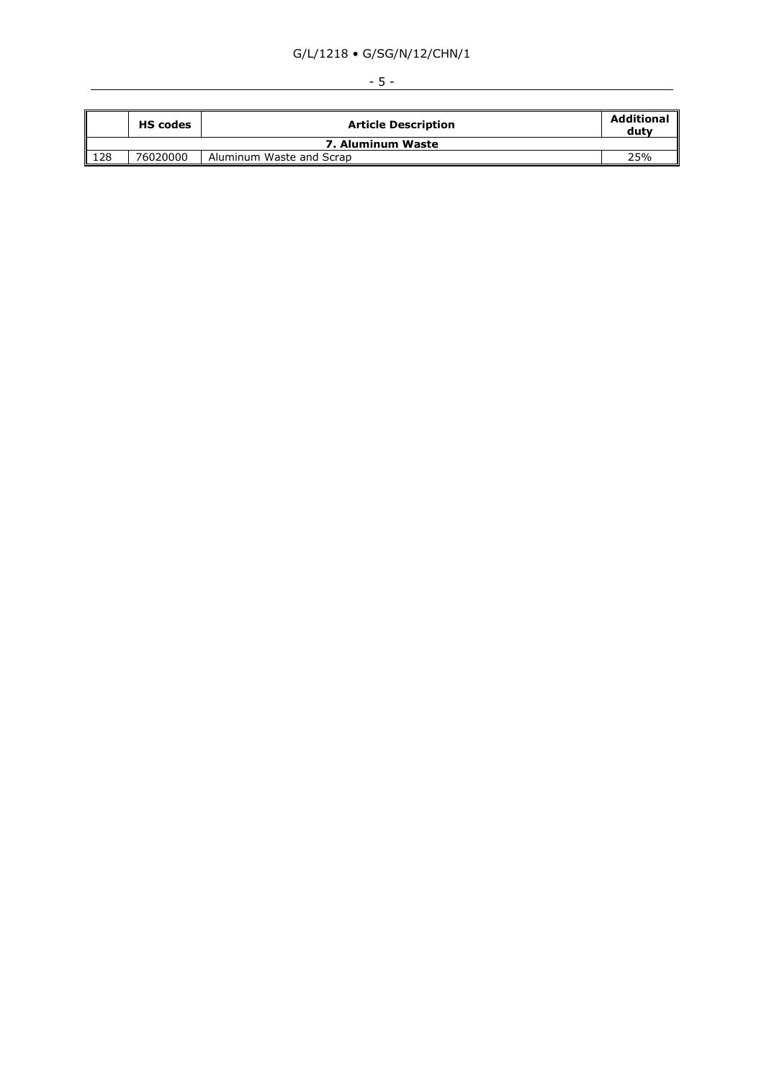## G/L/1218 • G/SG/N/12/CHN/1

|                   | <b>HS codes</b> | <b>Article Description</b> | <b>Additional</b><br>dutv |  |
|-------------------|-----------------|----------------------------|---------------------------|--|
| 7. Aluminum Waste |                 |                            |                           |  |
| $\vert$ 128       | 76020000        | Aluminum Waste and Scrap   | 25%                       |  |